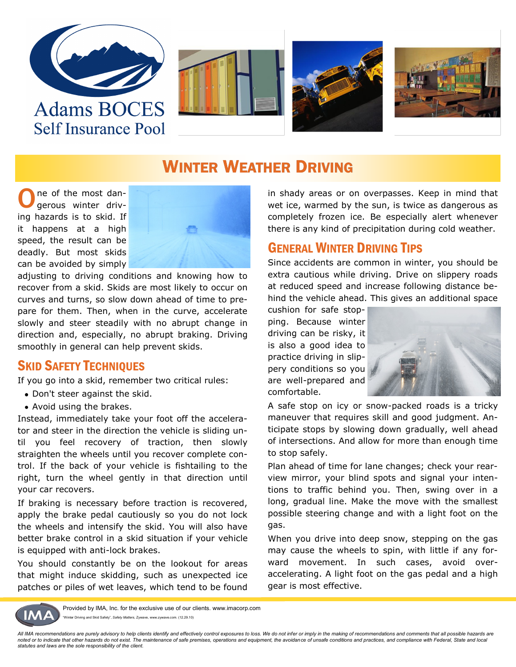

**Self Insurance Pool** 







### WINTER WEATHER DRIVING

O ne of the most dangerous winter driving hazards is to skid. If it happens at a high speed, the result can be deadly. But most skids can be avoided by simply



adjusting to driving conditions and knowing how to recover from a skid. Skids are most likely to occur on curves and turns, so slow down ahead of time to prepare for them. Then, when in the curve, accelerate slowly and steer steadily with no abrupt change in direction and, especially, no abrupt braking. Driving smoothly in general can help prevent skids.

#### SKID SAFETY TECHNIQUES

If you go into a skid, remember two critical rules:

- Don't steer against the skid.
- Avoid using the brakes.

Instead, immediately take your foot off the accelerator and steer in the direction the vehicle is sliding until you feel recovery of traction, then slowly straighten the wheels until you recover complete control. If the back of your vehicle is fishtailing to the right, turn the wheel gently in that direction until your car recovers.

If braking is necessary before traction is recovered, apply the brake pedal cautiously so you do not lock the wheels and intensify the skid. You will also have better brake control in a skid situation if your vehicle is equipped with anti-lock brakes.

You should constantly be on the lookout for areas that might induce skidding, such as unexpected ice patches or piles of wet leaves, which tend to be found

in shady areas or on overpasses. Keep in mind that wet ice, warmed by the sun, is twice as dangerous as completely frozen ice. Be especially alert whenever there is any kind of precipitation during cold weather.

### GENERAL WINTER DRIVING TIPS

Since accidents are common in winter, you should be extra cautious while driving. Drive on slippery roads at reduced speed and increase following distance behind the vehicle ahead. This gives an additional space

cushion for safe stopping. Because winter driving can be risky, it is also a good idea to practice driving in slippery conditions so you are well-prepared and comfortable.



A safe stop on icy or snow-packed roads is a tricky maneuver that requires skill and good judgment. Anticipate stops by slowing down gradually, well ahead of intersections. And allow for more than enough time to stop safely.

Plan ahead of time for lane changes; check your rearview mirror, your blind spots and signal your intentions to traffic behind you. Then, swing over in a long, gradual line. Make the move with the smallest possible steering change and with a light foot on the gas.

When you drive into deep snow, stepping on the gas may cause the wheels to spin, with little if any forward movement. In such cases, avoid overaccelerating. A light foot on the gas pedal and a high gear is most effective.



Provided by IMA, Inc. for the exclusive use of our clients. www.imacorp.com ter Driving and Skid Safety", *Safety Matters, Zywave*, www.zywave.com. (12.29.10)

All IMA recommendations are purely advisory to help clients identify and effectively control exposures to loss. We do not infer or imply in the making of recommendations and comments that all possible hazards are *noted or to indicate that other hazards do not exist. The maintenance of safe premises, operations and equipment, the avoidance of unsafe conditions and practices, and compliance with Federal, State and local statutes and laws are the sole responsibility of the client.*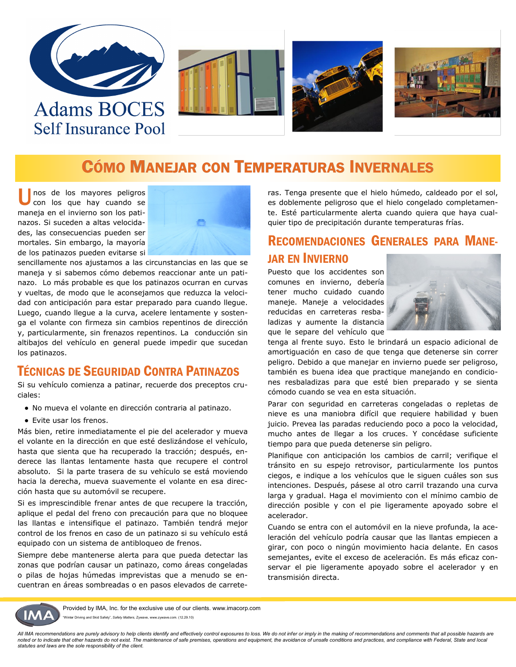





## CÓMO MANEJAR CON TEMPERATURAS INVERNALES

U nos de los mayores peligros con los que hay cuando se maneja en el invierno son los patinazos. Si suceden a altas velocidades, las consecuencias pueden ser mortales. Sin embargo, la mayoría de los patinazos pueden evitarse si



sencillamente nos ajustamos a las circunstancias en las que se maneja y si sabemos cómo debemos reaccionar ante un patinazo. Lo más probable es que los patinazos ocurran en curvas y vueltas, de modo que le aconsejamos que reduzca la velocidad con anticipación para estar preparado para cuando llegue. Luego, cuando llegue a la curva, acelere lentamente y sostenga el volante con firmeza sin cambios repentinos de dirección y, particularmente, sin frenazos repentinos. La conducción sin altibajos del vehículo en general puede impedir que sucedan los patinazos.

#### TÉCNICAS DE SEGURIDAD CONTRA PATINAZOS

Si su vehículo comienza a patinar, recuerde dos preceptos cruciales:

- No mueva el volante en dirección contraria al patinazo.
- Evite usar los frenos.

Más bien, retire inmediatamente el pie del acelerador y mueva el volante en la dirección en que esté deslizándose el vehículo, hasta que sienta que ha recuperado la tracción; después, enderece las llantas lentamente hasta que recupere el control absoluto. Si la parte trasera de su vehículo se está moviendo hacia la derecha, mueva suavemente el volante en esa dirección hasta que su automóvil se recupere.

Si es imprescindible frenar antes de que recupere la tracción, aplique el pedal del freno con precaución para que no bloquee las llantas e intensifique el patinazo. También tendrá mejor control de los frenos en caso de un patinazo si su vehículo está equipado con un sistema de antibloqueo de frenos.

Siempre debe mantenerse alerta para que pueda detectar las zonas que podrían causar un patinazo, como áreas congeladas o pilas de hojas húmedas imprevistas que a menudo se encuentran en áreas sombreadas o en pasos elevados de carreteras. Tenga presente que el hielo húmedo, caldeado por el sol, es doblemente peligroso que el hielo congelado completamente. Esté particularmente alerta cuando quiera que haya cualquier tipo de precipitación durante temperaturas frías.

### RECOMENDACIONES GENERALES PARA MANE-JAR EN INVIERNO

Puesto que los accidentes son comunes en invierno, debería tener mucho cuidado cuando maneje. Maneje a velocidades reducidas en carreteras resbaladizas y aumente la distancia que le separe del vehículo que



tenga al frente suyo. Esto le brindará un espacio adicional de amortiguación en caso de que tenga que detenerse sin correr peligro. Debido a que manejar en invierno puede ser peligroso, también es buena idea que practique manejando en condiciones resbaladizas para que esté bien preparado y se sienta cómodo cuando se vea en esta situación.

Parar con seguridad en carreteras congeladas o repletas de nieve es una maniobra difícil que requiere habilidad y buen juicio. Prevea las paradas reduciendo poco a poco la velocidad, mucho antes de llegar a los cruces. Y concédase suficiente tiempo para que pueda detenerse sin peligro.

Planifique con anticipación los cambios de carril; verifique el tránsito en su espejo retrovisor, particularmente los puntos ciegos, e indique a los vehículos que le siguen cuáles son sus intenciones. Después, pásese al otro carril trazando una curva larga y gradual. Haga el movimiento con el mínimo cambio de dirección posible y con el pie ligeramente apoyado sobre el acelerador.

Cuando se entra con el automóvil en la nieve profunda, la aceleración del vehículo podría causar que las llantas empiecen a girar, con poco o ningún movimiento hacia delante. En casos semejantes, evite el exceso de aceleración. Es más eficaz conservar el pie ligeramente apoyado sobre el acelerador y en transmisión directa.



Provided by IMA, Inc. for the exclusive use of our clients. www.imacorp.com ter Driving and Skid Safety", Safety Matters, Zywave, www.zywave.com. (12.29.10)

All IMA recommendations are purely advisory to help clients identify and effectively control exposures to loss. We do not infer or imply in the making of recommendations and comments that all possible hazards are *noted or to indicate that other hazards do not exist. The maintenance of safe premises, operations and equipment, the avoidance of unsafe conditions and practices, and compliance with Federal, State and local statutes and laws are the sole responsibility of the client.*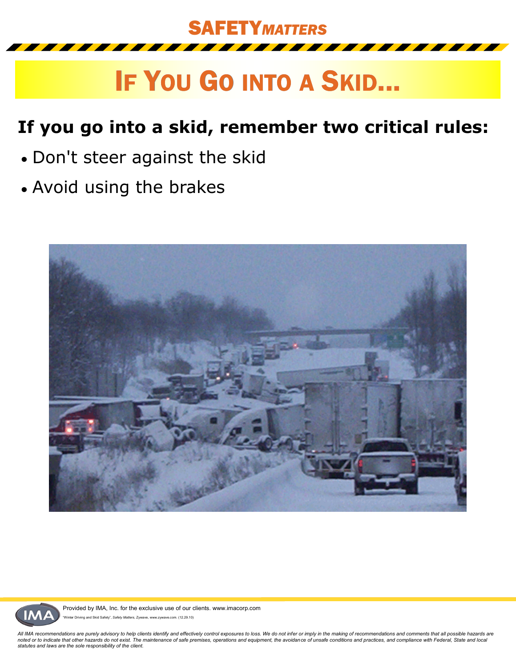

# IF YOU GO INTO A SKID...

## **If you go into a skid, remember two critical rules:**

- Don't steer against the skid
- Avoid using the brakes





Provided by IMA, Inc. for the exclusive use of our clients. www.imacorp.com Driving and Skid Safety", Safety Matters, Zywave, www.zywave.com. (12.29.10)

All IMA recommendations are purely advisory to help clients identify and effectively control exposures to loss. We do not infer or imply in the making of recommendations and comments that all possible hazards are<br>noted or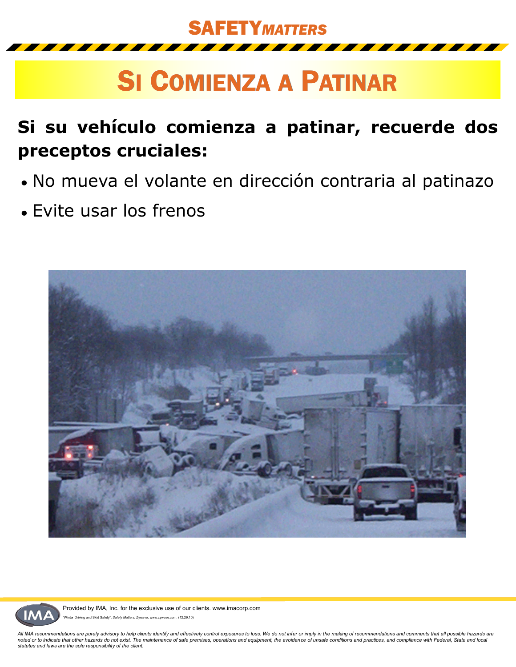SAFETY*MATTERS*

# SI COMIENZA A PATINAR

## **Si su vehículo comienza a patinar, recuerde dos preceptos cruciales:**

- No mueva el volante en dirección contraria al patinazo
- Evite usar los frenos





Provided by IMA, Inc. for the exclusive use of our clients. www.imacorp.com Driving and Skid Safety", Safety Matters, Zywave, www.zywave.com. (12.29.10)

*All IMA recommendations are purely advisory to help clients identify and effectively control exposures to loss. We do not infer or imply in the making of recommendations and comments that all possible hazards are noted or to indicate that other hazards do not exist. The maintenance of safe premises, operations and equipment, the avoidance of unsafe conditions and practices, and compliance with Federal, State and local statutes and laws are the sole responsibility of the client.*